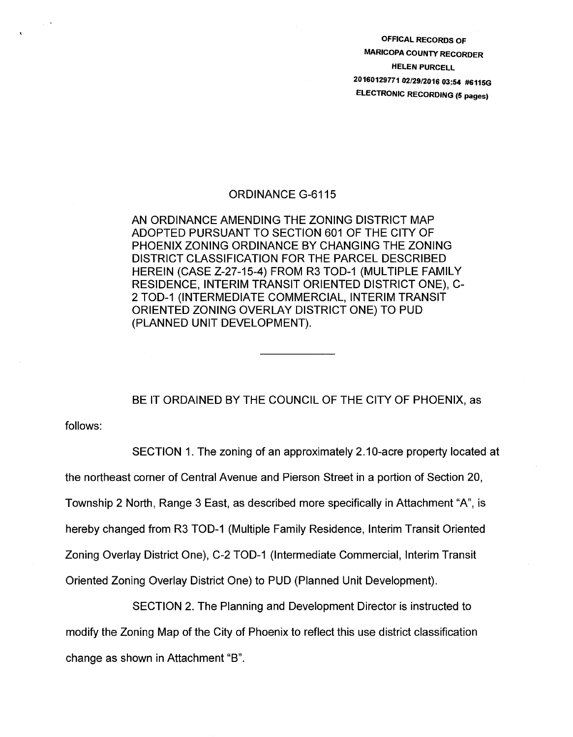OFFICAL RECORDS OF MARICOPA COUNTY RECORDER HELEN PURCELL 20160129771 02/29/2016 03:54 #6115G ELECTRONIC RECORDING (5 pages)

## ORDINANCE G-6115

AN ORDINANCE AMENDING THE ZONING DISTRICT MAP ADOPTED PURSUANT TO SECTION 601 OF THE CITY OF PHOENIX ZONING ORDINANCE BY CHANGING THE ZONING DISTRICT CLASSIFICATION FOR THE PARCEL DESCRIBED HEREIN (CASE Z-27-15-4) FROM R3 TOD-1 (MULTIPLE FAMILY RESIDENCE, INTERIM TRANSIT ORIENTED DISTRICT ONE), C-2 TOD-1 (INTERMEDIATE COMMERCIAL, INTERIM TRANSIT ORIENTED ZONING OVERLAY DISTRICT ONE) TO PUD (PLANNED UNIT DEVELOPMENT).

BE IT ORDAINED BY THE COUNCIL OF THE CITY OF PHOENIX, as

follows:

SECTION 1. The zoning of an approximately 2.10-acre property located at the northeast corner of Central Avenue and Pierson Street in a portion of Section 20, Township 2 North, Range 3 East, as described more specifically in Attachment "A", is hereby changed from R3 TOD-1 (Multiple Family Residence, Interim Transit Oriented Zoning Overlay District One), C-2 TOD-1 (Intermediate Commercial, Interim Transit Oriented Zoning Overlay District One) to PUD (Planned Unit Development).

SECTION 2. The Planning and Development Director is instructed to modify the Zoning Map of the City of Phoenix to reflect this use district classification change as shown in Attachment "B".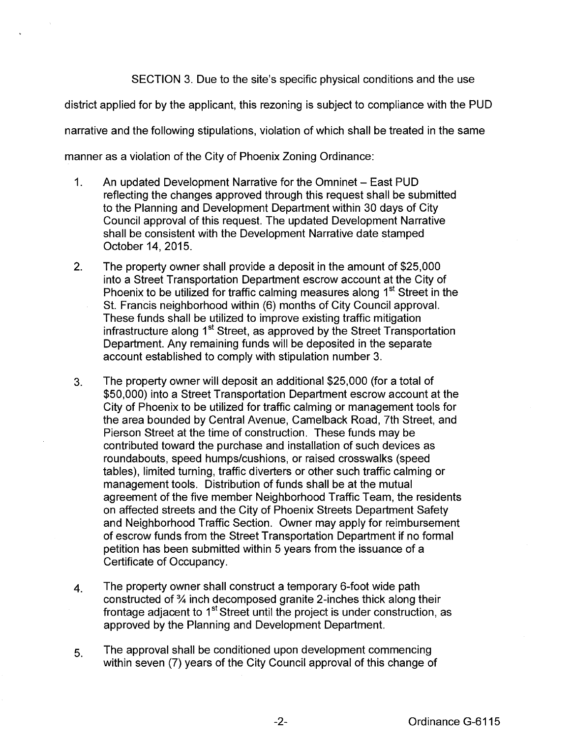SECTION 3. Due to the site's specific physical conditions and the use

district applied for by the applicant, this rezoning is subject to compliance with the PUD

narrative and the following stipulations, violation of which shall be treated in the same

manner as a violation of the City of Phoenix Zoning Ordinance:

- 1. An updated Development Narrative for the Omninet East PUD reflecting the changes approved through this request shall be submitted to the Planning and Development Department within 30 days of City Council approval of this request. The updated Development Narrative shall be consistent with the Development Narrative date stamped October 14,2015.
- 2. The property owner shall provide a deposit in the amount of \$25,000 into a Street Transportation Department escrow account at the City of Phoenix to be utilized for traffic calming measures along  $1<sup>st</sup>$  Street in the St. Francis neighborhood within (6) months of City Council approval. These funds shall be utilized to improve existing traffic mitigation infrastructure along 1<sup>st</sup> Street, as approved by the Street Transportation Department. Any remaining funds will be deposited in the separate account established to comply with stipulation number 3.
- 3. The property owner will deposit an additional \$25,000 (for a total of \$50,000) into a Street Transportation Department escrow account at the City of Phoenix to be utilized for traffic calming or management tools for the area bounded by Central Avenue, Camelback Road, 7th Street, and Pierson Street at the time of construction. These funds may be contributed toward the purchase and installation of such devices as roundabouts, speed humps/cushions, or raised crosswalks (speed tables), limited turning, traffic diverters or other such traffic calming or management tools. Distribution of funds shall be at the mutual agreement of the five member Neighborhood Traffic Team, the residents on affected streets and the City of Phoenix Streets Department Safety and Neighborhood Traffic Section. Owner may apply for reimbursement of escrow funds from the Street Transportation Department if no formal petition has been submitted within 5 years from the issuance of a Certificate of Occupancy.
- 4. The property owner shall construct a temporary 6-foot wide path constructed of  $\frac{3}{4}$  inch decomposed granite 2-inches thick along their frontage adjacent to 1<sup>st</sup> Street until the project is under construction, as approved by the Planning and Development Department.
- 5. The approval shall be conditioned upon development commencing within seven (7) years of the City Council approval of this change of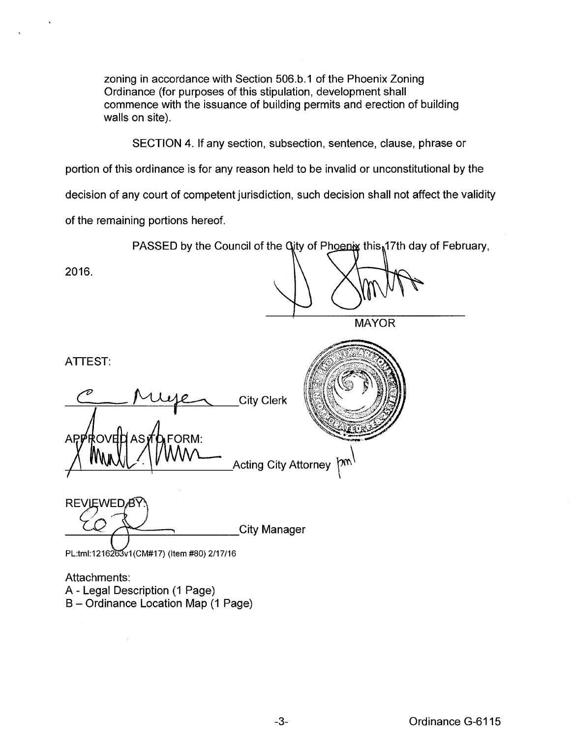zoning in accordance with Section 506.b.1 of the Phoenix Zoning Ordinance (for purposes of this stipulation, development shall commence with the issuance of building permits and erection of building walls on site).

SECTION 4. If any section, subsection, sentence, clause, phrase or

portion of this ordinance is for any reason held to be invalid or unconstitutional by the

decision of any court of competent jurisdiction, such decision shall not affect the validity

of the remaining portions hereof.

PASSED by the Council of the Gity of Phoenix this 17th day of February,

2016.

**MAYOR** 

ATTEST:

City Clerk FORM: AP₽ はいけ ΔS

**Acting City Attorney** m

**REVIEWED**<sub>8</sub> **City Manager** 

PL:tml:1216263v1(CM#17) (Item #80) 2/17/16

 $\bar{\lambda}$ 

Attachments: A- Legal Description (1 Page) B- Ordinance Location Map (1 Page)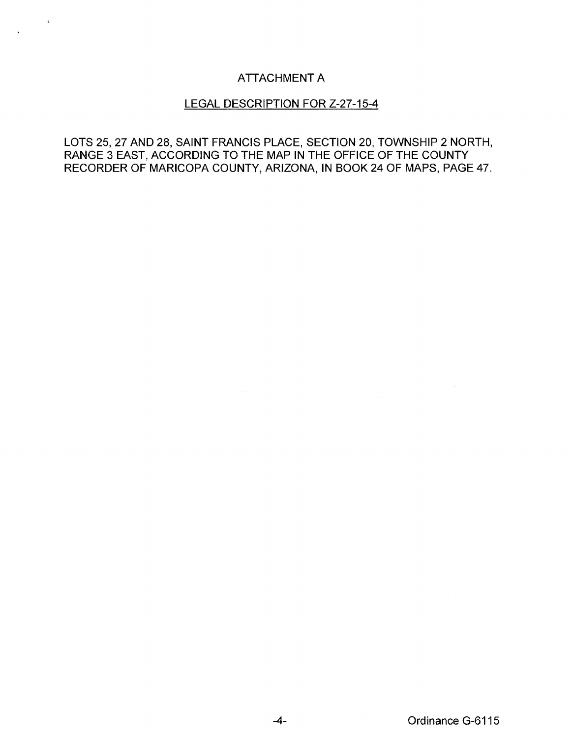## ATTACHMENT A

## LEGAL DESCRIPTION FOR Z-27-15-4

LOTS 25, 27 AND 28, SAINT FRANCIS PLACE, SECTION 20, TOWNSHIP 2 NORTH, RANGE 3 EAST, ACCORDING TO THE MAP IN THE OFFICE OF THE COUNTY RECORDER OF MARICOPA COUNTY, ARIZONA, IN BOOK 24 OF MAPS, PAGE 47.